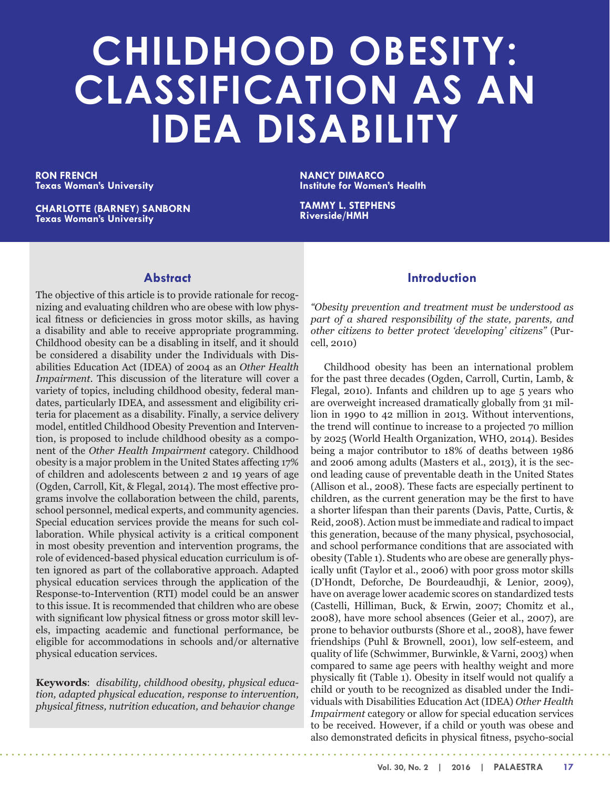# **CHILDHOOD OBESITY: CLASSIFICATION AS AN IDEA DISABILITY**

**RON FRENCH Texas Woman's University**

**CHARLOTTE (BARNEY) SANBORN Texas Woman's University**

**NANCY DIMARCO Institute for Women's Health**

**TAMMY L. STEPHENS Riverside/HMH**

## **Abstract**

The objective of this article is to provide rationale for recognizing and evaluating children who are obese with low physical fitness or deficiencies in gross motor skills, as having a disability and able to receive appropriate programming. Childhood obesity can be a disabling in itself, and it should be considered a disability under the Individuals with Disabilities Education Act (IDEA) of 2004 as an *Other Health Impairment*. This discussion of the literature will cover a variety of topics, including childhood obesity, federal mandates, particularly IDEA, and assessment and eligibility criteria for placement as a disability. Finally, a service delivery model, entitled Childhood Obesity Prevention and Intervention, is proposed to include childhood obesity as a component of the *Other Health Impairment* category. Childhood obesity is a major problem in the United States affecting 17% of children and adolescents between 2 and 19 years of age (Ogden, Carroll, Kit, & Flegal, 2014). The most effective programs involve the collaboration between the child, parents, school personnel, medical experts, and community agencies. Special education services provide the means for such collaboration. While physical activity is a critical component in most obesity prevention and intervention programs, the role of evidenced-based physical education curriculum is often ignored as part of the collaborative approach. Adapted physical education services through the application of the Response-to-Intervention (RTI) model could be an answer to this issue. It is recommended that children who are obese with significant low physical fitness or gross motor skill levels, impacting academic and functional performance, be eligible for accommodations in schools and/or alternative physical education services.

**Keywords**: *disability, childhood obesity, physical education, adapted physical education, response to intervention, physical fitness, nutrition education, and behavior change* 

## **Introduction**

*"Obesity prevention and treatment must be understood as part of a shared responsibility of the state, parents, and other citizens to better protect 'developing' citizens"* (Purcell, 2010)

Childhood obesity has been an international problem for the past three decades (Ogden, Carroll, Curtin, Lamb, & Flegal, 2010). Infants and children up to age 5 years who are overweight increased dramatically globally from 31 million in 1990 to 42 million in 2013. Without interventions, the trend will continue to increase to a projected 70 million by 2025 (World Health Organization, WHO, 2014). Besides being a major contributor to 18% of deaths between 1986 and 2006 among adults (Masters et al., 2013), it is the second leading cause of preventable death in the United States (Allison et al., 2008). These facts are especially pertinent to children, as the current generation may be the first to have a shorter lifespan than their parents (Davis, Patte, Curtis, & Reid, 2008). Action must be immediate and radical to impact this generation, because of the many physical, psychosocial, and school performance conditions that are associated with obesity (Table 1). Students who are obese are generally physically unfit (Taylor et al., 2006) with poor gross motor skills (D'Hondt, Deforche, De Bourdeaudhji, & Lenior, 2009), have on average lower academic scores on standardized tests (Castelli, Hilliman, Buck, & Erwin, 2007; Chomitz et al., 2008), have more school absences (Geier et al., 2007), are prone to behavior outbursts (Shore et al., 2008), have fewer friendships (Puhl & Brownell, 2001), low self-esteem, and quality of life (Schwimmer, Burwinkle, & Varni, 2003) when compared to same age peers with healthy weight and more physically fit (Table 1). Obesity in itself would not qualify a child or youth to be recognized as disabled under the Individuals with Disabilities Education Act (IDEA) *Other Health Impairment* category or allow for special education services to be received. However, if a child or youth was obese and also demonstrated deficits in physical fitness, psycho-social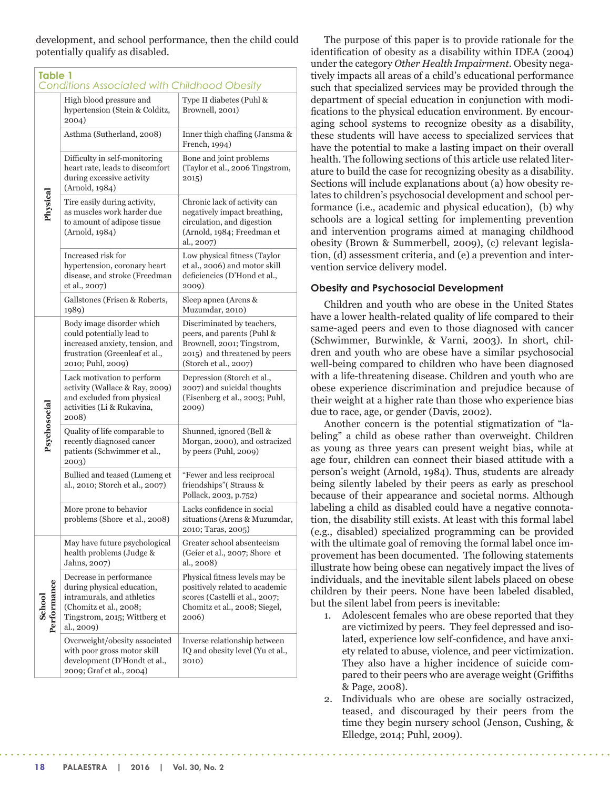development, and school performance, then the child could potentially qualify as disabled.

| <b>Table 1</b><br><b>Conditions Associated with Childhood Obesity</b> |                                                                                                                                                             |                                                                                                                                                  |  |  |  |  |
|-----------------------------------------------------------------------|-------------------------------------------------------------------------------------------------------------------------------------------------------------|--------------------------------------------------------------------------------------------------------------------------------------------------|--|--|--|--|
| Physical                                                              | High blood pressure and<br>hypertension (Stein & Colditz,<br>2004)                                                                                          | Type II diabetes (Puhl &<br>Brownell, 2001)                                                                                                      |  |  |  |  |
|                                                                       | Asthma (Sutherland, 2008)                                                                                                                                   | Inner thigh chaffing (Jansma &<br>French, 1994)                                                                                                  |  |  |  |  |
|                                                                       | Difficulty in self-monitoring<br>heart rate, leads to discomfort<br>during excessive activity<br>(Arnold, 1984)                                             | Bone and joint problems<br>(Taylor et al., 2006 Tingstrom,<br>2015)                                                                              |  |  |  |  |
|                                                                       | Tire easily during activity,<br>as muscles work harder due<br>to amount of adipose tissue<br>(Arnold, 1984)                                                 | Chronic lack of activity can<br>negatively impact breathing,<br>circulation, and digestion<br>(Arnold, 1984; Freedman et<br>al., 2007)           |  |  |  |  |
|                                                                       | Increased risk for<br>hypertension, coronary heart<br>disease, and stroke (Freedman<br>et al., 2007)                                                        | Low physical fitness (Taylor<br>et al., 2006) and motor skill<br>deficiencies (D'Hond et al.,<br>2009)                                           |  |  |  |  |
|                                                                       | Gallstones (Frisen & Roberts,<br>1989)                                                                                                                      | Sleep apnea (Arens &<br>Muzumdar, 2010)                                                                                                          |  |  |  |  |
| Psychosocial                                                          | Body image disorder which<br>could potentially lead to<br>increased anxiety, tension, and<br>frustration (Greenleaf et al.,<br>2010; Puhl, 2009)            | Discriminated by teachers,<br>peers, and parents (Puhl &<br>Brownell, 2001; Tingstrom,<br>2015) and threatened by peers<br>(Storch et al., 2007) |  |  |  |  |
|                                                                       | Lack motivation to perform<br>activity (Wallace & Ray, 2009)<br>and excluded from physical<br>activities (Li & Rukavina,<br>2008)                           | Depression (Storch et al.,<br>2007) and suicidal thoughts<br>(Eisenberg et al., 2003; Puhl,<br>2009)                                             |  |  |  |  |
|                                                                       | Quality of life comparable to<br>recently diagnosed cancer<br>patients (Schwimmer et al.,<br>2003)                                                          | Shunned, ignored (Bell &<br>Morgan, 2000), and ostracized<br>by peers (Puhl, $2009$ )                                                            |  |  |  |  |
|                                                                       | Bullied and teased (Lumeng et<br>al., 2010; Storch et al., 2007)                                                                                            | "Fewer and less reciprocal<br>friendships" (Strauss &<br>Pollack, 2003, p.752)                                                                   |  |  |  |  |
|                                                                       | More prone to behavior<br>problems (Shore et al., 2008)                                                                                                     | Lacks confidence in social<br>situations (Arens & Muzumdar,<br>2010; Taras, 2005)                                                                |  |  |  |  |
| Performance<br>School                                                 | May have future psychological<br>health problems (Judge &<br>Jahns, 2007)                                                                                   | Greater school absenteeism<br>(Geier et al., 2007; Shore et<br>al., 2008)                                                                        |  |  |  |  |
|                                                                       | Decrease in performance<br>during physical education,<br>intramurals, and athletics<br>(Chomitz et al., 2008;<br>Tingstrom, 2015; Wittberg et<br>al., 2009) | Physical fitness levels may be<br>positively related to academic<br>scores (Castelli et al., 2007;<br>Chomitz et al., 2008; Siegel,<br>2006)     |  |  |  |  |
|                                                                       | Overweight/obesity associated<br>with poor gross motor skill<br>development (D'Hondt et al.,<br>2009; Graf et al., 2004)                                    | Inverse relationship between<br>IQ and obesity level (Yu et al.,<br>2010)                                                                        |  |  |  |  |

The purpose of this paper is to provide rationale for the identification of obesity as a disability within IDEA (2004) under the category *Other Health Impairment*. Obesity negatively impacts all areas of a child's educational performance such that specialized services may be provided through the department of special education in conjunction with modifications to the physical education environment. By encouraging school systems to recognize obesity as a disability, these students will have access to specialized services that have the potential to make a lasting impact on their overall health. The following sections of this article use related literature to build the case for recognizing obesity as a disability. Sections will include explanations about (a) how obesity relates to children's psychosocial development and school performance (i.e., academic and physical education), (b) why schools are a logical setting for implementing prevention and intervention programs aimed at managing childhood obesity (Brown & Summerbell, 2009), (c) relevant legislation, (d) assessment criteria, and (e) a prevention and intervention service delivery model.

### **Obesity and Psychosocial Development**

Children and youth who are obese in the United States have a lower health-related quality of life compared to their same-aged peers and even to those diagnosed with cancer (Schwimmer, Burwinkle, & Varni, 2003). In short, children and youth who are obese have a similar psychosocial well-being compared to children who have been diagnosed with a life-threatening disease. Children and youth who are obese experience discrimination and prejudice because of their weight at a higher rate than those who experience bias due to race, age, or gender (Davis, 2002).

Another concern is the potential stigmatization of "labeling" a child as obese rather than overweight. Children as young as three years can present weight bias, while at age four, children can connect their biased attitude with a person's weight (Arnold, 1984). Thus, students are already being silently labeled by their peers as early as preschool because of their appearance and societal norms. Although labeling a child as disabled could have a negative connotation, the disability still exists. At least with this formal label (e.g., disabled) specialized programming can be provided with the ultimate goal of removing the formal label once improvement has been documented. The following statements illustrate how being obese can negatively impact the lives of individuals, and the inevitable silent labels placed on obese children by their peers. None have been labeled disabled, but the silent label from peers is inevitable:

- 1. Adolescent females who are obese reported that they are victimized by peers. They feel depressed and isolated, experience low self-confidence, and have anxiety related to abuse, violence, and peer victimization. They also have a higher incidence of suicide compared to their peers who are average weight (Griffiths & Page, 2008).
- 2. Individuals who are obese are socially ostracized, teased, and discouraged by their peers from the time they begin nursery school (Jenson, Cushing, & Elledge, 2014; Puhl, 2009).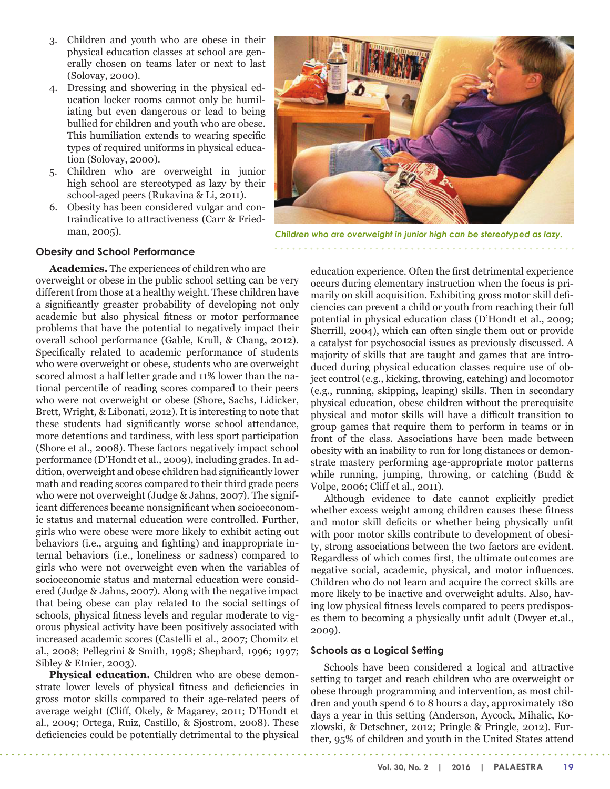- 3. Children and youth who are obese in their physical education classes at school are generally chosen on teams later or next to last (Solovay, 2000).
- 4. Dressing and showering in the physical education locker rooms cannot only be humiliating but even dangerous or lead to being bullied for children and youth who are obese. This humiliation extends to wearing specific types of required uniforms in physical education (Solovay, 2000).
- 5. Children who are overweight in junior high school are stereotyped as lazy by their school-aged peers (Rukavina & Li, 2011).
- 6. Obesity has been considered vulgar and contraindicative to attractiveness (Carr & Friedman, 2005).



*Children who are overweight in junior high can be stereotyped as lazy.*

#### **Obesity and School Performance**

**Academics.** The experiences of children who are overweight or obese in the public school setting can be very different from those at a healthy weight. These children have a significantly greaster probability of developing not only academic but also physical fitness or motor performance problems that have the potential to negatively impact their overall school performance (Gable, Krull, & Chang, 2012). Specifically related to academic performance of students who were overweight or obese, students who are overweight scored almost a half letter grade and 11% lower than the national percentile of reading scores compared to their peers who were not overweight or obese (Shore, Sachs, Lidicker, Brett, Wright, & Libonati, 2012). It is interesting to note that these students had significantly worse school attendance, more detentions and tardiness, with less sport participation (Shore et al., 2008). These factors negatively impact school performance (D'Hondt et al., 2009), including grades. In addition, overweight and obese children had significantly lower math and reading scores compared to their third grade peers who were not overweight (Judge & Jahns, 2007). The significant differences became nonsignificant when socioeconomic status and maternal education were controlled. Further, girls who were obese were more likely to exhibit acting out behaviors (i.e., arguing and fighting) and inappropriate internal behaviors (i.e., loneliness or sadness) compared to girls who were not overweight even when the variables of socioeconomic status and maternal education were considered (Judge & Jahns, 2007). Along with the negative impact that being obese can play related to the social settings of schools, physical fitness levels and regular moderate to vigorous physical activity have been positively associated with increased academic scores (Castelli et al., 2007; Chomitz et al., 2008; Pellegrini & Smith, 1998; Shephard, 1996; 1997; Sibley & Etnier, 2003).

**Physical education.** Children who are obese demonstrate lower levels of physical fitness and deficiencies in gross motor skills compared to their age-related peers of average weight (Cliff, Okely, & Magarey, 2011; D'Hondt et al., 2009; Ortega, Ruiz, Castillo, & Sjostrom, 2008). These deficiencies could be potentially detrimental to the physical

education experience. Often the first detrimental experience occurs during elementary instruction when the focus is primarily on skill acquisition. Exhibiting gross motor skill deficiencies can prevent a child or youth from reaching their full potential in physical education class (D'Hondt et al., 2009; Sherrill, 2004), which can often single them out or provide a catalyst for psychosocial issues as previously discussed. A majority of skills that are taught and games that are introduced during physical education classes require use of object control (e.g., kicking, throwing, catching) and locomotor (e.g., running, skipping, leaping) skills. Then in secondary physical education, obese children without the prerequisite physical and motor skills will have a difficult transition to group games that require them to perform in teams or in front of the class. Associations have been made between obesity with an inability to run for long distances or demonstrate mastery performing age-appropriate motor patterns while running, jumping, throwing, or catching (Budd & Volpe, 2006; Cliff et al., 2011).

Although evidence to date cannot explicitly predict whether excess weight among children causes these fitness and motor skill deficits or whether being physically unfit with poor motor skills contribute to development of obesity, strong associations between the two factors are evident. Regardless of which comes first, the ultimate outcomes are negative social, academic, physical, and motor influences. Children who do not learn and acquire the correct skills are more likely to be inactive and overweight adults. Also, having low physical fitness levels compared to peers predisposes them to becoming a physically unfit adult (Dwyer et.al., 2009).

#### **Schools as a Logical Setting**

Schools have been considered a logical and attractive setting to target and reach children who are overweight or obese through programming and intervention, as most children and youth spend 6 to 8 hours a day, approximately 180 days a year in this setting (Anderson, Aycock, Mihalic, Kozlowski, & Detschner, 2012; Pringle & Pringle, 2012). Further, 95% of children and youth in the United States attend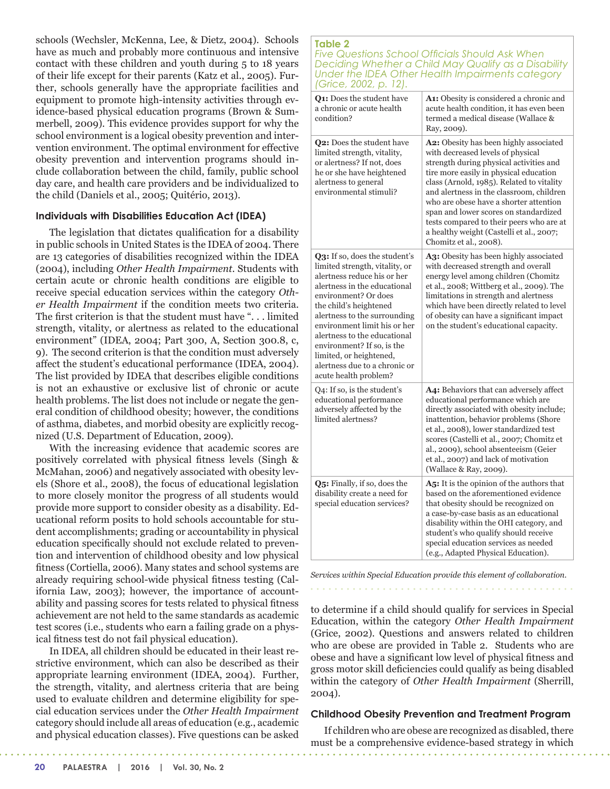schools (Wechsler, McKenna, Lee, & Dietz, 2004). Schools have as much and probably more continuous and intensive contact with these children and youth during 5 to 18 years of their life except for their parents (Katz et al., 2005). Further, schools generally have the appropriate facilities and equipment to promote high-intensity activities through evidence-based physical education programs (Brown & Summerbell, 2009). This evidence provides support for why the school environment is a logical obesity prevention and intervention environment. The optimal environment for effective obesity prevention and intervention programs should include collaboration between the child, family, public school day care, and health care providers and be individualized to the child (Daniels et al., 2005; Quitério, 2013).

#### **Individuals with Disabilities Education Act (IDEA)**

The legislation that dictates qualification for a disability in public schools in United States is the IDEA of 2004. There are 13 categories of disabilities recognized within the IDEA (2004), including *Other Health Impairment*. Students with certain acute or chronic health conditions are eligible to receive special education services within the category *Other Health Impairment* if the condition meets two criteria. The first criterion is that the student must have ". . . limited strength, vitality, or alertness as related to the educational environment" (IDEA, 2004; Part 300, A, Section 300.8, c, 9). The second criterion is that the condition must adversely affect the student's educational performance (IDEA, 2004). The list provided by IDEA that describes eligible conditions is not an exhaustive or exclusive list of chronic or acute health problems. The list does not include or negate the general condition of childhood obesity; however, the conditions of asthma, diabetes, and morbid obesity are explicitly recognized (U.S. Department of Education, 2009).

With the increasing evidence that academic scores are positively correlated with physical fitness levels (Singh & McMahan, 2006) and negatively associated with obesity levels (Shore et al., 2008), the focus of educational legislation to more closely monitor the progress of all students would provide more support to consider obesity as a disability. Educational reform posits to hold schools accountable for student accomplishments; grading or accountability in physical education specifically should not exclude related to prevention and intervention of childhood obesity and low physical fitness (Cortiella, 2006). Many states and school systems are already requiring school-wide physical fitness testing (California Law, 2003); however, the importance of accountability and passing scores for tests related to physical fitness achievement are not held to the same standards as academic test scores (i.e., students who earn a failing grade on a physical fitness test do not fail physical education).

In IDEA, all children should be educated in their least restrictive environment, which can also be described as their appropriate learning environment (IDEA, 2004). Further, the strength, vitality, and alertness criteria that are being used to evaluate children and determine eligibility for special education services under the *Other Health Impairment* category should include all areas of education (e.g., academic and physical education classes). Five questions can be asked

#### **Table 2** *Five Questions School Officials Should Ask When Deciding Whether a Child May Qualify as a Disability Under the IDEA Other Health Impairments category (Grice, 2002, p. 12).*

| $O(10C)$ $LOOL$ , $N1$                                                                                                                                                                                                                                                                                                                                                                              |                                                                                                                                                                                                                                                                                                                                                                                                                                                                |
|-----------------------------------------------------------------------------------------------------------------------------------------------------------------------------------------------------------------------------------------------------------------------------------------------------------------------------------------------------------------------------------------------------|----------------------------------------------------------------------------------------------------------------------------------------------------------------------------------------------------------------------------------------------------------------------------------------------------------------------------------------------------------------------------------------------------------------------------------------------------------------|
| Q1: Does the student have<br>a chronic or acute health<br>condition?                                                                                                                                                                                                                                                                                                                                | A1: Obesity is considered a chronic and<br>acute health condition, it has even been<br>termed a medical disease (Wallace &<br>Ray, 2009).                                                                                                                                                                                                                                                                                                                      |
| Q2: Does the student have<br>limited strength, vitality,<br>or alertness? If not, does<br>he or she have heightened<br>alertness to general<br>environmental stimuli?                                                                                                                                                                                                                               | A2: Obesity has been highly associated<br>with decreased levels of physical<br>strength during physical activities and<br>tire more easily in physical education<br>class (Arnold, 1985). Related to vitality<br>and alertness in the classroom, children<br>who are obese have a shorter attention<br>span and lower scores on standardized<br>tests compared to their peers who are at<br>a healthy weight (Castelli et al., 2007;<br>Chomitz et al., 2008). |
| Q3: If so, does the student's<br>limited strength, vitality, or<br>alertness reduce his or her<br>alertness in the educational<br>environment? Or does<br>the child's heightened<br>alertness to the surrounding<br>environment limit his or her<br>alertness to the educational<br>environment? If so, is the<br>limited, or heightened,<br>alertness due to a chronic or<br>acute health problem? | A3: Obesity has been highly associated<br>with decreased strength and overall<br>energy level among children (Chomitz<br>et al., 2008; Wittberg et al., 2009). The<br>limitations in strength and alertness<br>which have been directly related to level<br>of obesity can have a significant impact<br>on the student's educational capacity.                                                                                                                 |
| Q4: If so, is the student's<br>educational performance<br>adversely affected by the<br>limited alertness?                                                                                                                                                                                                                                                                                           | A4: Behaviors that can adversely affect<br>educational performance which are<br>directly associated with obesity include;<br>inattention, behavior problems (Shore<br>et al., 2008), lower standardized test<br>scores (Castelli et al., 2007; Chomitz et<br>al., 2009), school absenteeism (Geier<br>et al., 2007) and lack of motivation<br>(Wallace & Ray, 2009).                                                                                           |
| Q5: Finally, if so, does the<br>disability create a need for<br>special education services?                                                                                                                                                                                                                                                                                                         | A5: It is the opinion of the authors that<br>based on the aforementioned evidence<br>that obesity should be recognized on<br>a case-by-case basis as an educational<br>disability within the OHI category, and<br>student's who qualify should receive<br>special education services as needed<br>(e.g., Adapted Physical Education).                                                                                                                          |

*Services within Special Education provide this element of collaboration.* 

to determine if a child should qualify for services in Special Education, within the category *Other Health Impairment*  (Grice, 2002). Questions and answers related to children who are obese are provided in Table 2. Students who are obese and have a significant low level of physical fitness and gross motor skill deficiencies could qualify as being disabled within the category of *Other Health Impairment* (Sherrill, 2004).

#### **Childhood Obesity Prevention and Treatment Program**

If children who are obese are recognized as disabled, there must be a comprehensive evidence-based strategy in which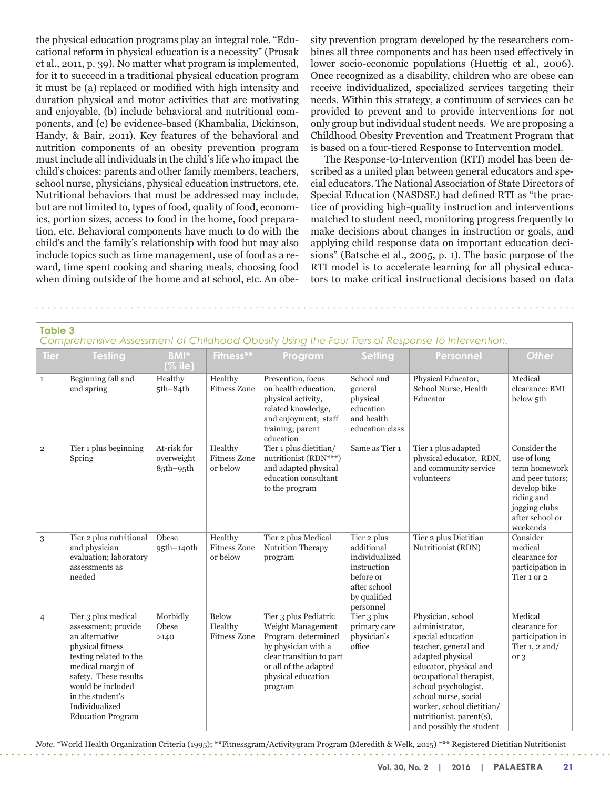the physical education programs play an integral role. "Educational reform in physical education is a necessity" (Prusak et al., 2011, p. 39). No matter what program is implemented, for it to succeed in a traditional physical education program it must be (a) replaced or modified with high intensity and duration physical and motor activities that are motivating and enjoyable, (b) include behavioral and nutritional components, and (c) be evidence-based (Khambalia, Dickinson, Handy, & Bair, 2011). Key features of the behavioral and nutrition components of an obesity prevention program must include all individuals in the child's life who impact the child's choices: parents and other family members, teachers, school nurse, physicians, physical education instructors, etc. Nutritional behaviors that must be addressed may include, but are not limited to, types of food, quality of food, economics, portion sizes, access to food in the home, food preparation, etc. Behavioral components have much to do with the child's and the family's relationship with food but may also include topics such as time management, use of food as a reward, time spent cooking and sharing meals, choosing food when dining outside of the home and at school, etc. An obesity prevention program developed by the researchers combines all three components and has been used effectively in lower socio-economic populations (Huettig et al., 2006). Once recognized as a disability, children who are obese can receive individualized, specialized services targeting their needs. Within this strategy, a continuum of services can be provided to prevent and to provide interventions for not only group but individual student needs. We are proposing a Childhood Obesity Prevention and Treatment Program that is based on a four-tiered Response to Intervention model.

The Response-to-Intervention (RTI) model has been described as a united plan between general educators and special educators. The National Association of State Directors of Special Education (NASDSE) had defined RTI as "the practice of providing high-quality instruction and interventions matched to student need, monitoring progress frequently to make decisions about changes in instruction or goals, and applying child response data on important education decisions" (Batsche et al., 2005, p. 1). The basic purpose of the RTI model is to accelerate learning for all physical educators to make critical instructional decisions based on data

| <b>Table 3</b><br>Comprehensive Assessment of Childhood Obesity Using the Four Tiers of Response to Intervention. |                                                                                                                                                                                                                                                 |                                        |                                            |                                                                                                                                                                               |                                                                                                                      |                                                                                                                                                                                                                                                                                                |                                                                                                                                                |  |  |
|-------------------------------------------------------------------------------------------------------------------|-------------------------------------------------------------------------------------------------------------------------------------------------------------------------------------------------------------------------------------------------|----------------------------------------|--------------------------------------------|-------------------------------------------------------------------------------------------------------------------------------------------------------------------------------|----------------------------------------------------------------------------------------------------------------------|------------------------------------------------------------------------------------------------------------------------------------------------------------------------------------------------------------------------------------------------------------------------------------------------|------------------------------------------------------------------------------------------------------------------------------------------------|--|--|
| <b>Tier</b>                                                                                                       | <b>Testing</b>                                                                                                                                                                                                                                  | <b>BMI*</b><br>( % 1)                  | Fitness**                                  | Program                                                                                                                                                                       | Setting                                                                                                              | Personnel                                                                                                                                                                                                                                                                                      | <b>Other</b>                                                                                                                                   |  |  |
| $\mathbf{1}$                                                                                                      | Beginning fall and<br>end spring                                                                                                                                                                                                                | Healthy<br>$5th-84th$                  | Healthy<br><b>Fitness Zone</b>             | Prevention, focus<br>on health education.<br>physical activity,<br>related knowledge,<br>and enjoyment; staff<br>training; parent<br>education                                | School and<br>general<br>physical<br>education<br>and health<br>education class                                      | Physical Educator,<br>School Nurse, Health<br>Educator                                                                                                                                                                                                                                         | Medical<br>clearance: BMI<br>below 5th                                                                                                         |  |  |
| $\overline{2}$                                                                                                    | Tier 1 plus beginning<br>Spring                                                                                                                                                                                                                 | At-risk for<br>overweight<br>85th-95th | Healthy<br><b>Fitness Zone</b><br>or below | Tier 1 plus dietitian/<br>nutritionist (RDN***)<br>and adapted physical<br>education consultant<br>to the program                                                             | Same as Tier 1                                                                                                       | Tier 1 plus adapted<br>physical educator, RDN,<br>and community service<br>volunteers                                                                                                                                                                                                          | Consider the<br>use of long<br>term homework<br>and peer tutors;<br>develop bike<br>riding and<br>jogging clubs<br>after school or<br>weekends |  |  |
| 3                                                                                                                 | Tier 2 plus nutritional<br>and physician<br>evaluation; laboratory<br>assessments as<br>needed                                                                                                                                                  | Obese<br>$95th-140th$                  | Healthy<br><b>Fitness Zone</b><br>or below | Tier 2 plus Medical<br>Nutrition Therapy<br>program                                                                                                                           | Tier 2 plus<br>additional<br>individualized<br>instruction<br>before or<br>after school<br>by qualified<br>personnel | Tier 2 plus Dietitian<br>Nutritionist (RDN)                                                                                                                                                                                                                                                    | Consider<br>medical<br>clearance for<br>participation in<br>Tier 1 or 2                                                                        |  |  |
| $\overline{4}$                                                                                                    | Tier 3 plus medical<br>assessment; provide<br>an alternative<br>physical fitness<br>testing related to the<br>medical margin of<br>safety. These results<br>would be included<br>in the student's<br>Individualized<br><b>Education Program</b> | Morbidly<br>Obese<br>>140              | Below<br>Healthy<br><b>Fitness Zone</b>    | Tier 3 plus Pediatric<br>Weight Management<br>Program determined<br>by physician with a<br>clear transition to part<br>or all of the adapted<br>physical education<br>program | Tier 3 plus<br>primary care<br>physician's<br>office                                                                 | Physician, school<br>administrator,<br>special education<br>teacher, general and<br>adapted physical<br>educator, physical and<br>occupational therapist,<br>school psychologist,<br>school nurse, social<br>worker, school dietitian/<br>nutritionist, parent(s),<br>and possibly the student | Medical<br>clearance for<br>participation in<br>Tier $1$ , $2$ and/<br>or <sub>3</sub>                                                         |  |  |

*Note*. \*World Health Organization Criteria (1995); \*\*Fitnessgram/Activitygram Program (Meredith & Welk, 2015) \*\*\* Registered Dietitian Nutritionist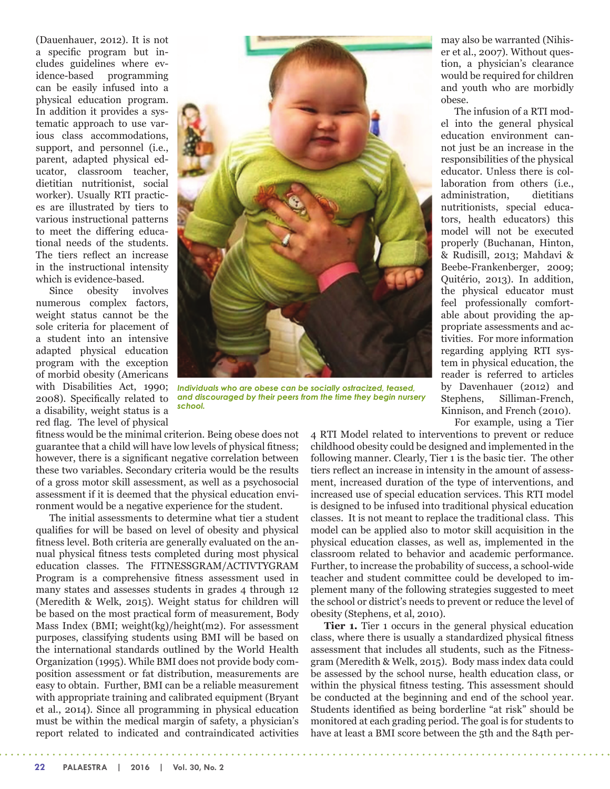(Dauenhauer, 2012). It is not a specific program but includes guidelines where evidence-based programming can be easily infused into a physical education program. In addition it provides a systematic approach to use various class accommodations, support, and personnel (i.e., parent, adapted physical educator, classroom teacher, dietitian nutritionist, social worker). Usually RTI practices are illustrated by tiers to various instructional patterns to meet the differing educational needs of the students. The tiers reflect an increase in the instructional intensity which is evidence-based.

Since obesity involves numerous complex factors, weight status cannot be the sole criteria for placement of a student into an intensive adapted physical education program with the exception of morbid obesity (Americans with Disabilities Act, 1990; 2008). Specifically related to a disability, weight status is a red flag. The level of physical



*Individuals who are obese can be socially ostracized, teased, and discouraged by their peers from the time they begin nursery school.*

fitness would be the minimal criterion. Being obese does not guarantee that a child will have low levels of physical fitness; however, there is a significant negative correlation between these two variables. Secondary criteria would be the results of a gross motor skill assessment, as well as a psychosocial assessment if it is deemed that the physical education environment would be a negative experience for the student.

The initial assessments to determine what tier a student qualifies for will be based on level of obesity and physical fitness level. Both criteria are generally evaluated on the annual physical fitness tests completed during most physical education classes. The FITNESSGRAM/ACTIVTYGRAM Program is a comprehensive fitness assessment used in many states and assesses students in grades 4 through 12 (Meredith & Welk, 2015). Weight status for children will be based on the most practical form of measurement, Body Mass Index (BMI; weight(kg)/height(m2). For assessment purposes, classifying students using BMI will be based on the international standards outlined by the World Health Organization (1995). While BMI does not provide body composition assessment or fat distribution, measurements are easy to obtain. Further, BMI can be a reliable measurement with appropriate training and calibrated equipment (Bryant et al., 2014). Since all programming in physical education must be within the medical margin of safety, a physician's report related to indicated and contraindicated activities

may also be warranted (Nihiser et al., 2007). Without question, a physician's clearance would be required for children and youth who are morbidly obese.

The infusion of a RTI model into the general physical education environment cannot just be an increase in the responsibilities of the physical educator. Unless there is collaboration from others (i.e., administration, dietitians nutritionists, special educators, health educators) this model will not be executed properly (Buchanan, Hinton, & Rudisill, 2013; Mahdavi & Beebe-Frankenberger, 2009; Quitério, 2013). In addition, the physical educator must feel professionally comfortable about providing the appropriate assessments and activities. For more information regarding applying RTI system in physical education, the reader is referred to articles by Davenhauer (2012) and Stephens, Silliman-French, Kinnison, and French (2010).

For example, using a Tier

4 RTI Model related to interventions to prevent or reduce childhood obesity could be designed and implemented in the following manner. Clearly, Tier 1 is the basic tier. The other tiers reflect an increase in intensity in the amount of assessment, increased duration of the type of interventions, and increased use of special education services. This RTI model is designed to be infused into traditional physical education classes. It is not meant to replace the traditional class. This model can be applied also to motor skill acquisition in the physical education classes, as well as, implemented in the classroom related to behavior and academic performance. Further, to increase the probability of success, a school-wide teacher and student committee could be developed to implement many of the following strategies suggested to meet the school or district's needs to prevent or reduce the level of obesity (Stephens, et al, 2010).

**Tier 1.** Tier 1 occurs in the general physical education class, where there is usually a standardized physical fitness assessment that includes all students, such as the Fitnessgram (Meredith & Welk, 2015). Body mass index data could be assessed by the school nurse, health education class, or within the physical fitness testing. This assessment should be conducted at the beginning and end of the school year. Students identified as being borderline "at risk" should be monitored at each grading period. The goal is for students to have at least a BMI score between the 5th and the 84th per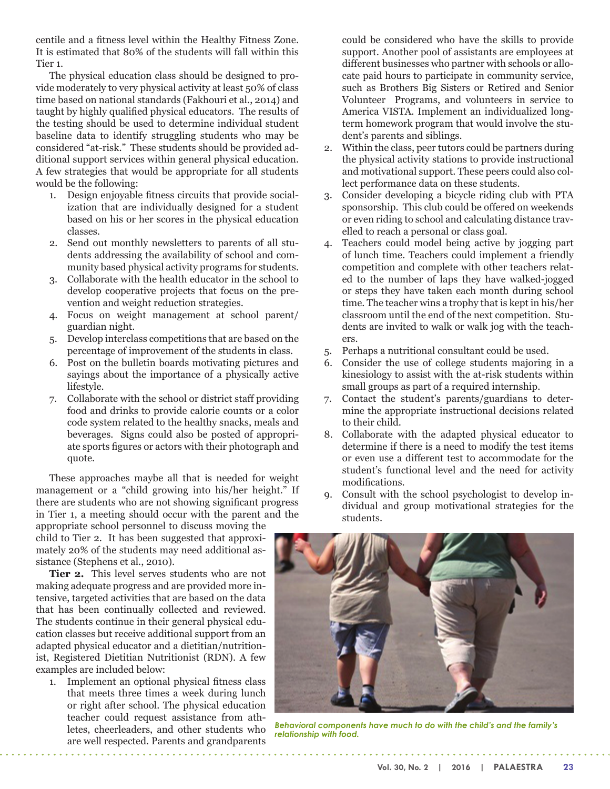centile and a fitness level within the Healthy Fitness Zone. It is estimated that 80% of the students will fall within this Tier 1.

The physical education class should be designed to provide moderately to very physical activity at least 50% of class time based on national standards (Fakhouri et al., 2014) and taught by highly qualified physical educators. The results of the testing should be used to determine individual student baseline data to identify struggling students who may be considered "at-risk." These students should be provided additional support services within general physical education. A few strategies that would be appropriate for all students would be the following:

- 1. Design enjoyable fitness circuits that provide socialization that are individually designed for a student based on his or her scores in the physical education classes.
- 2. Send out monthly newsletters to parents of all students addressing the availability of school and community based physical activity programs for students.
- 3. Collaborate with the health educator in the school to develop cooperative projects that focus on the prevention and weight reduction strategies.
- 4. Focus on weight management at school parent/ guardian night.
- 5. Develop interclass competitions that are based on the percentage of improvement of the students in class.
- 6. Post on the bulletin boards motivating pictures and sayings about the importance of a physically active lifestyle.
- 7. Collaborate with the school or district staff providing food and drinks to provide calorie counts or a color code system related to the healthy snacks, meals and beverages. Signs could also be posted of appropriate sports figures or actors with their photograph and quote.

These approaches maybe all that is needed for weight management or a "child growing into his/her height." If there are students who are not showing significant progress in Tier 1, a meeting should occur with the parent and the appropriate school personnel to discuss moving the

child to Tier 2. It has been suggested that approximately 20% of the students may need additional assistance (Stephens et al., 2010).

**Tier 2.** This level serves students who are not making adequate progress and are provided more intensive, targeted activities that are based on the data that has been continually collected and reviewed. The students continue in their general physical education classes but receive additional support from an adapted physical educator and a dietitian/nutritionist, Registered Dietitian Nutritionist (RDN). A few examples are included below:

1. Implement an optional physical fitness class that meets three times a week during lunch or right after school. The physical education teacher could request assistance from athletes, cheerleaders, and other students who are well respected. Parents and grandparents

could be considered who have the skills to provide support. Another pool of assistants are employees at different businesses who partner with schools or allocate paid hours to participate in community service, such as Brothers Big Sisters or Retired and Senior Volunteer Programs, and volunteers in service to America VISTA. Implement an individualized longterm homework program that would involve the student's parents and siblings.

- 2. Within the class, peer tutors could be partners during the physical activity stations to provide instructional and motivational support. These peers could also collect performance data on these students.
- 3. Consider developing a bicycle riding club with PTA sponsorship. This club could be offered on weekends or even riding to school and calculating distance travelled to reach a personal or class goal.
- 4. Teachers could model being active by jogging part of lunch time. Teachers could implement a friendly competition and complete with other teachers related to the number of laps they have walked-jogged or steps they have taken each month during school time. The teacher wins a trophy that is kept in his/her classroom until the end of the next competition. Students are invited to walk or walk jog with the teachers.
- 5. Perhaps a nutritional consultant could be used.
- 6. Consider the use of college students majoring in a kinesiology to assist with the at-risk students within small groups as part of a required internship.
- 7. Contact the student's parents/guardians to determine the appropriate instructional decisions related to their child.
- 8. Collaborate with the adapted physical educator to determine if there is a need to modify the test items or even use a different test to accommodate for the student's functional level and the need for activity modifications.
- 9. Consult with the school psychologist to develop individual and group motivational strategies for the students.



*Behavioral components have much to do with the child's and the family's relationship with food.*

. . . . . . . . . . . . . . . . . . .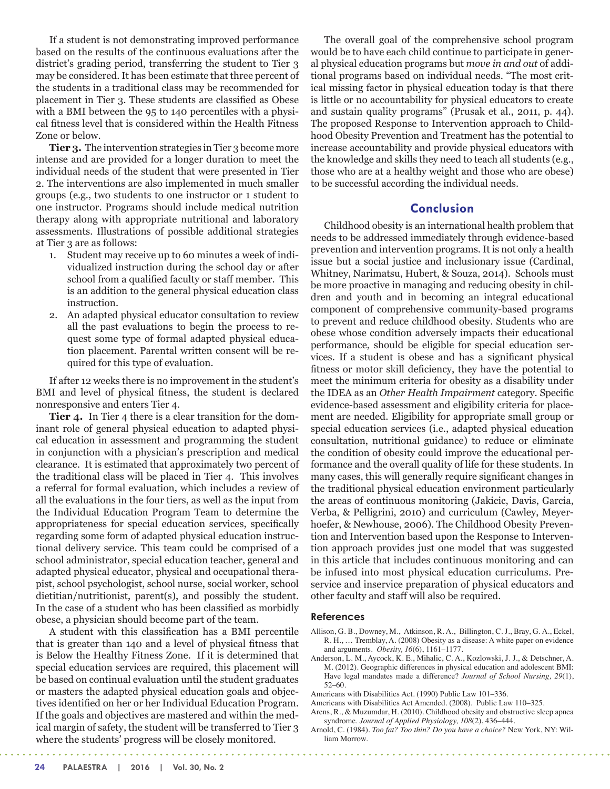If a student is not demonstrating improved performance based on the results of the continuous evaluations after the district's grading period, transferring the student to Tier 3 may be considered. It has been estimate that three percent of the students in a traditional class may be recommended for placement in Tier 3. These students are classified as Obese with a BMI between the 95 to 140 percentiles with a physical fitness level that is considered within the Health Fitness Zone or below.

**Tier 3.** The intervention strategies in Tier 3 become more intense and are provided for a longer duration to meet the individual needs of the student that were presented in Tier 2. The interventions are also implemented in much smaller groups (e.g., two students to one instructor or 1 student to one instructor. Programs should include medical nutrition therapy along with appropriate nutritional and laboratory assessments. Illustrations of possible additional strategies at Tier 3 are as follows:

- 1. Student may receive up to 60 minutes a week of individualized instruction during the school day or after school from a qualified faculty or staff member. This is an addition to the general physical education class instruction.
- 2. An adapted physical educator consultation to review all the past evaluations to begin the process to request some type of formal adapted physical education placement. Parental written consent will be required for this type of evaluation.

If after 12 weeks there is no improvement in the student's BMI and level of physical fitness, the student is declared nonresponsive and enters Tier 4.

**Tier 4.** In Tier 4 there is a clear transition for the dominant role of general physical education to adapted physical education in assessment and programming the student in conjunction with a physician's prescription and medical clearance. It is estimated that approximately two percent of the traditional class will be placed in Tier 4. This involves a referral for formal evaluation, which includes a review of all the evaluations in the four tiers, as well as the input from the Individual Education Program Team to determine the appropriateness for special education services, specifically regarding some form of adapted physical education instructional delivery service. This team could be comprised of a school administrator, special education teacher, general and adapted physical educator, physical and occupational therapist, school psychologist, school nurse, social worker, school dietitian/nutritionist, parent(s), and possibly the student. In the case of a student who has been classified as morbidly obese, a physician should become part of the team.

A student with this classification has a BMI percentile that is greater than 140 and a level of physical fitness that is Below the Healthy Fitness Zone. If it is determined that special education services are required, this placement will be based on continual evaluation until the student graduates or masters the adapted physical education goals and objectives identified on her or her Individual Education Program. If the goals and objectives are mastered and within the medical margin of safety, the student will be transferred to Tier 3 where the students' progress will be closely monitored.

 $\mathbf{L}$  and  $\mathbf{L}$ 

The overall goal of the comprehensive school program would be to have each child continue to participate in general physical education programs but *move in and out* of additional programs based on individual needs. "The most critical missing factor in physical education today is that there is little or no accountability for physical educators to create and sustain quality programs" (Prusak et al., 2011, p. 44). The proposed Response to Intervention approach to Childhood Obesity Prevention and Treatment has the potential to increase accountability and provide physical educators with the knowledge and skills they need to teach all students (e.g., those who are at a healthy weight and those who are obese) to be successful according the individual needs.

## **Conclusion**

Childhood obesity is an international health problem that needs to be addressed immediately through evidence-based prevention and intervention programs. It is not only a health issue but a social justice and inclusionary issue (Cardinal, Whitney, Narimatsu, Hubert, & Souza, 2014). Schools must be more proactive in managing and reducing obesity in children and youth and in becoming an integral educational component of comprehensive community-based programs to prevent and reduce childhood obesity. Students who are obese whose condition adversely impacts their educational performance, should be eligible for special education services. If a student is obese and has a significant physical fitness or motor skill deficiency, they have the potential to meet the minimum criteria for obesity as a disability under the IDEA as an *Other Health Impairment* category. Specific evidence-based assessment and eligibility criteria for placement are needed. Eligibility for appropriate small group or special education services (i.e., adapted physical education consultation, nutritional guidance) to reduce or eliminate the condition of obesity could improve the educational performance and the overall quality of life for these students. In many cases, this will generally require significant changes in the traditional physical education environment particularly the areas of continuous monitoring (Jakicic, Davis, Garcia, Verba, & Pelligrini, 2010) and curriculum (Cawley, Meyerhoefer, & Newhouse, 2006). The Childhood Obesity Prevention and Intervention based upon the Response to Intervention approach provides just one model that was suggested in this article that includes continuous monitoring and can be infused into most physical education curriculums. Preservice and inservice preparation of physical educators and other faculty and staff will also be required.

#### **References**

- Allison, G. B., Downey, M., Atkinson, R. A., Billington, C. J., Bray, G. A., Eckel, R. H., … Tremblay, A. (2008) Obesity as a disease: A white paper on evidence and arguments*. Obesity, 16*(6), 1161–1177.
- Anderson, L. M., Aycock, K. E., Mihalic, C. A., Kozlowski, J. J., & Detschner, A. M. (2012). Geographic differences in physical education and adolescent BMI: Have legal mandates made a difference? *Journal of School Nursing, 29*(1), 52–60.
- Americans with Disabilities Act. (1990) Public Law 101–336.
- Americans with Disabilities Act Amended. (2008). Public Law 110–325.

- Arens, R., & Muzumdar, H. (2010). Childhood obesity and obstructive sleep apnea syndrome. *Journal of Applied Physiology, 108*(2), 436–444.
- Arnold, C. (1984). *Too fat? Too thin? Do you have a choice?* New York, NY: William Morrow.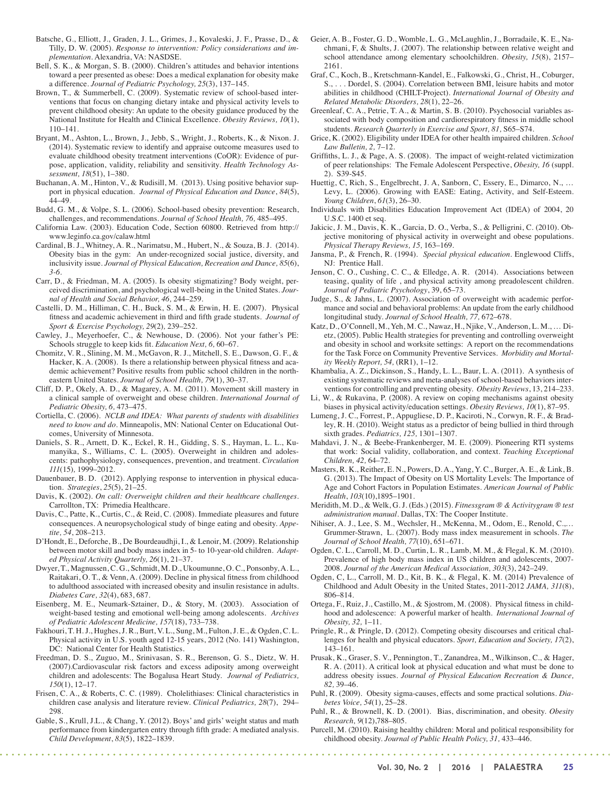- Batsche, G., Elliott, J., Graden, J. L., Grimes, J., Kovaleski, J. F., Prasse, D., & Tilly, D. W. (2005). *Response to intervention: Policy considerations and implementation*. Alexandria, VA: NASDSE.
- Bell, S. K., & Morgan, S. B. (2000). Children's attitudes and behavior intentions toward a peer presented as obese: Does a medical explanation for obesity make a difference. *Journal of Pediatric Psychology, 25*(3), 137–145.
- Brown, T., & Summerbell, C. (2009). Systematic review of school-based interventions that focus on changing dietary intake and physical activity levels to prevent childhood obesity: An update to the obesity guidance produced by the National Institute for Health and Clinical Excellence. *Obesity Reviews, 10*(1), 110–141.
- Bryant, M., Ashton, L., Brown, J., Jebb, S., Wright, J., Roberts, K., & Nixon. J. (2014). Systematic review to identify and appraise outcome measures used to evaluate childhood obesity treatment interventions (CoOR): Evidence of purpose, application, validity, reliability and sensitivity. *Health Technology Assessment, 18*(51), 1–380.
- Buchanan, A. M., Hinton, V., & Rudisill, M. (2013). Using positive behavior support in physical education. *Journal of Physical Education and Dance*, *84*(5), 44–49.
- Budd, G. M., & Volpe, S. L. (2006). School-based obesity prevention: Research, challenges, and recommendations. *Journal of School Health, 76,* 485–495.
- California Law. (2003). Education Code, Section 60800. Retrieved from http:// www.leginfo.ca.gov/calaw.html
- Cardinal, B. J., Whitney, A. R., Narimatsu, M., Hubert, N., & Souza, B. J. (2014). Obesity bias in the gym: An under-recognized social justice, diversity, and inclusivity issue. *Journal of Physical Education, Recreation and Dance, 85*(6), *3-6.*
- Carr, D., & Friedman, M. A. (2005). Is obesity stigmatizing? Body weight, perceived discrimination, and psychological well-being in the United States. *Journal of Health and Social Behavior, 46,* 244–259.
- Castelli, D. M., Hilliman, C. H., Buck, S. M., & Erwin, H. E. (2007). Physical fitness and academic achievement in third and fifth grade students. *Journal of Sport & Exercise Psychology, 29*(2)*,* 239–252.
- Cawley, J., Meyerhoefer, C., & Newhouse, D. (2006). Not your father's PE: Schools struggle to keep kids fit. *Education Next, 6,* 60–67.
- Chomitz, V. R., Slining, M. M., McGavon, R. J., Mitchell, S. E., Dawson, G. F., & Hacker, K. A. (2008). Is there a relationship between physical fitness and academic achievement? Positive results from public school children in the northeastern United States. *Journal of School Health, 79*(1), 30–37.
- Cliff, D. P., Okely, A. D., & Magarey, A. M. (2011). Movement skill mastery in a clinical sample of overweight and obese children. *International Journal of Pediatric Obesity, 6,* 473–475.
- Cortiella, C. (2006). *NCLB and IDEA: What parents of students with disabilities need to know and do.* Minneapolis, MN: National Center on Educational Outcomes, University of Minnesota.
- Daniels, S. R., Arnett, D. K., Eckel, R. H., Gidding, S. S., Hayman, L. L., Kumanyika, S., Williams, C. L. (2005). Overweight in children and adolescents: pathophysiology, consequences, prevention, and treatment. *Circulation 111*(15)*,* 1999–2012.
- Dauenbauer, B. D. (2012). Applying response to intervention in physical education. *Strategies*, *25*(5), 21–25.
- Davis, K. (2002). *On call: Overweight children and their healthcare challenges*. Carrollton, TX: Primedia Healthcare.
- Davis, C., Patte, K., Curtis, C., & Reid, C. (2008). Immediate pleasures and future consequences. A neuropsychological study of binge eating and obesity. *Appetite, 54*, 208–213.
- D'Hondt, E., Deforche, B., De Bourdeaudhji, I., & Lenoir, M. (2009). Relationship between motor skill and body mass index in 5- to 10-year-old children. *Adapted Physical Activity Quarterly, 26*(1), 21–37.
- Dwyer, T., Magnussen, C. G., Schmidt, M. D., Ukoumunne, O. C., Ponsonby, A. L., Raitakari, O. T., & Venn, A. (2009). Decline in physical fitness from childhood to adulthood associated with increased obesity and insulin resistance in adults. *Diabetes Care, 32*(4), 683, 687.
- Eisenberg, M. E., Neumark-Sztainer, D., & Story, M. (2003). Association of weight-based testing and emotional well-being among adolescents. *Archives of Pediatric Adolescent Medicine, 157*(18), 733–738.
- Fakhouri, T. H. J., Hughes, J. R., Burt, V. L., Sung, M., Fulton, J. E., & Ogden, C. L. Physical activity in U.S. youth aged 12-15 years, 2012 (No. 141) Washington, DC: National Center for Health Statistics.
- Freedman, D. S., Zuguo, M., Srinivasan, S. R., Berenson, G. S., Dietz, W. H. (2007).Cardiovascular risk factors and excess adiposity among overweight children and adolescents: The Bogalusa Heart Study. *Journal of Pediatrics, 150*(1), 12–17.
- Frisen, C. A., & Roberts, C. C. (1989). Cholelithiases: Clinical characteristics in children case analysis and literature review. *Clinical Pediatrics, 28*(7), 294– 298.
- Gable, S., Krull, J.L., & Chang, Y. (2012). Boys' and girls' weight status and math performance from kindergarten entry through fifth grade: A mediated analysis. *Child Development*, *83*(5), 1822–1839.
- Geier, A. B., Foster, G. D., Womble, L. G., McLaughlin, J., Borradaile, K. E., Nachmani, F, & Shults, J. (2007). The relationship between relative weight and school attendance among elementary schoolchildren. *Obesity, 15*(8), 2157– 2161.
- Graf, C., Koch, B., Kretschmann-Kandel, E., Falkowski, G., Christ, H., Coburger, S., . . . Dordel, S. (2004). Correlation between BMI, leisure habits and motor abilities in childhood (CHILT-Project). *International Journal of Obesity and Related Metabolic Disorders, 28*(1), 22–26.
- Greenleaf, C. A., Petrie, T. A., & Martin, S. B. (2010). Psychosocial variables associated with body composition and cardiorespiratory fitness in middle school students*. Research Quarterly in Exercise and Sport, 81,* S65–S74.
- Grice, K. (2002). Eligibility under IDEA for other health impaired children. *School Law Bulletin, 2,* 7–12.
- Griffiths, L. J., & Page, A. S. (2008). The impact of weight-related victimization of peer relationships: The Female Adolescent Perspective, *Obesity, 16* (suppl. 2). S39-S45.
- Huettig, C, Rich, S., Engelbrecht, J. A, Sanborn, C, Essery, E., Dimarco, N., … Levy, L. (2006). Growing with EASE: Eating, Activity, and Self-Esteem. *Young Children*, *61*(3), 26–30.
- Individuals with Disabilities Education Improvement Act (IDEA) of 2004, 20 U.S.C. 1400 et seq.
- Jakicic, J. M., Davis, K. K., Garcia, D. O., Verba, S., & Pelligrini, C. (2010). Objective monitoring of physical activity in overweight and obese populations. *Physical Therapy Reviews, 15,* 163–169.
- Jansma, P., & French, R. (1994). *Special physical education.* Englewood Cliffs, NJ: Prentice Hall.
- Jenson, C. O., Cushing, C. C., & Elledge, A. R. (2014). Associations between teasing, quality of life , and physical activity among preadolescent children. *Journal of Pediatric Psychology*, 39, 65–73.
- Judge, S., & Jahns, L. (2007). Association of overweight with academic performance and social and behavioral problems: An update from the early childhood longitudinal study. *Journal of School Health, 77,* 672–678.
- Katz, D., O'Connell, M., Yeh, M. C., Nawaz, H., Njike, V., Anderson, L. M., … Dietz, (2005). Public Health strategies for preventing and controlling overweight and obesity in school and worksite settings: A report on the recommendations for the Task Force on Community Preventive Services. *Morbidity and Mortality Weekly Report, 54,* (RR1), 1–12.
- Khambalia, A. Z., Dickinson, S., Handy, L. L., Baur, L. A. (2011). A synthesis of existing systematic reviews and meta-analyses of school-based behaviors interventions for controlling and preventing obesity. *Obesity Reviews*, 13, 214–233.
- Li, W., & Rukavina, P. (2008). A review on coping mechanisms against obesity biases in physical activity/education settings. *Obesity Reviews, 10*(1), 87–95.
- Lumeng, J. C., Forrest, P., Appugliese, D. P., Kaciroti, N., Corwyn, R. F., & Bradley, R. H. (2010). Weight status as a predictor of being bullied in third through sixth grades. *Pediatrics, 125,* 1301–1307.
- Mahdavi, J. N., & Beebe-Frankenberger, M. E. (2009). Pioneering RTI systems that work: Social validity, collaboration, and context. *Teaching Exceptional Children, 42,* 64–72.
- Masters, R. K., Reither, E. N., Powers, D. A., Yang, Y. C., Burger, A. E., & Link, B. G. (2013). The Impact of Obesity on US Mortality Levels: The Importance of Age and Cohort Factors in Population Estimates. *American Journal of Public Health*, *103*(10),1895–1901.
- Meridith, M. D., & Welk, G. J. (Eds.) (2015). *Fitnessgram ® & Activitygram ® test administration manual*. Dallas, TX: The Cooper Institute.
- Nihiser, A. J., Lee, S. M., Wechsler, H., McKenna, M., Odom, E., Renold, C.,… Grummer-Strawn, L. (2007). Body mass index measurement in schools. *The Journal of School Health, 77*(10), 651–671.
- Ogden, C. L., Carroll, M. D., Curtin, L. R., Lamb, M. M., & Flegal, K. M. (2010). Prevalence of high body mass index in US children and adolescents, 2007- 2008. *Journal of the American Medical Association, 303*(3), 242–249.
- Ogden, C, L., Carroll, M. D., Kit, B. K., & Flegal, K. M. (2014) Prevalence of Childhood and Adult Obesity in the United States, 2011-2012 *JAMA, 311*(8), 806–814.
- Ortega, F., Ruiz, J., Castillo, M., & Sjostrom, M. (2008). Physical fitness in childhood and adolescence: A powerful marker of health. *International Journal of Obesity, 32,* 1–11.
- Pringle, R., & Pringle, D. (2012). Competing obesity discourses and critical challenges for health and physical educators. *Sport, Education and Society, 17*(2), 143–161.
- Prusak, K., Graser, S. V., Pennington, T., Zanandrea, M., Wilkinson, C., & Hager, R. A. (2011). A critical look at physical education and what must be done to address obesity issues. *Journal of Physical Education Recreation & Dance, 82,* 39–46.
- Puhl, R. (2009). Obesity sigma-causes, effects and some practical solutions. *Diabetes Voice, 54*(1), 25–28.
- Puhl, R., & Brownell, K. D. (2001). Bias, discrimination, and obesity. *Obesity Research, 9*(12),788–805.
- Purcell, M. (2010). Raising healthy children: Moral and political responsibility for childhood obesity. *Journal of Public Health Policy, 31,* 433–446.

*<u>Alama Adam</u>*